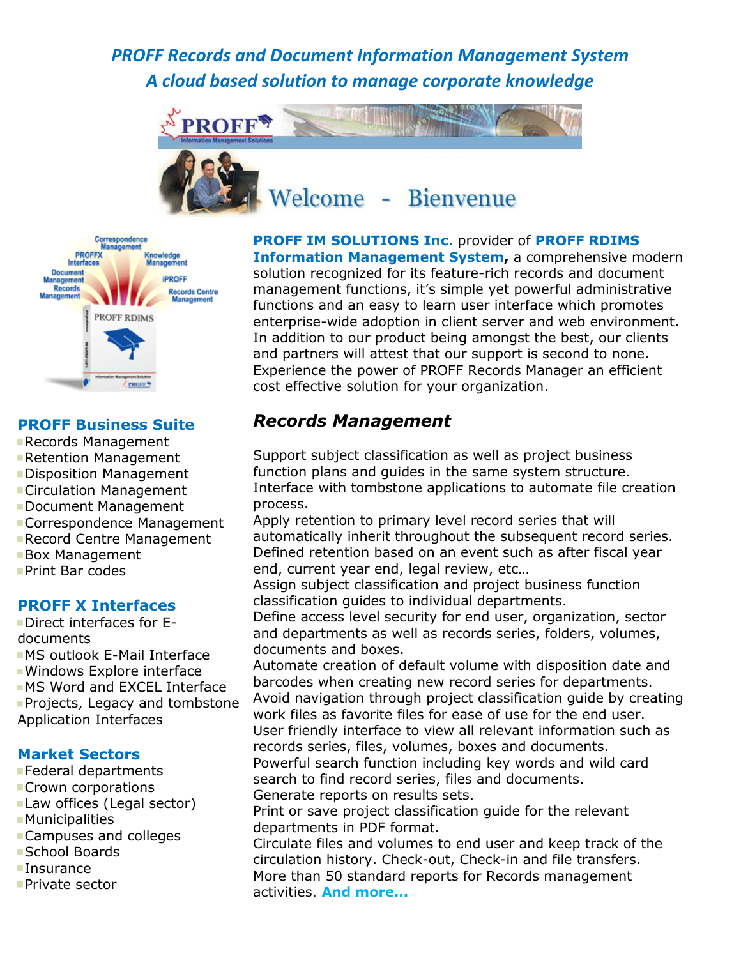# *PROFF Records and Document Information Management System A cloud based solution to manage corporate knowledge*





#### **PROFF Business Suite**

- Records Management
- Retention Management
- Disposition Management
- Circulation Management
- Document Management
- Correspondence Management
- **Record Centre Management**
- Box Management
- **Print Bar codes**

#### **PROFF X Interfaces**

Direct interfaces for Edocuments MS outlook E-Mail Interface Windows Explore interface **MS Word and EXCEL Interface Projects, Legacy and tombstone** Application Interfaces

#### **Market Sectors**

- Federal departments
- **Crown corporations**
- Law offices (Legal sector)
- **Municipalities**
- Campuses and colleges
- School Boards
- **Insurance**
- Private sector

**PROFF IM SOLUTIONS Inc.** provider of **PROFF RDIMS Information Management System,** a comprehensive modern solution recognized for its feature-rich records and document management functions, it's simple yet powerful administrative functions and an easy to learn user interface which promotes enterprise-wide adoption in client server and web environment. In addition to our product being amongst the best, our clients and partners will attest that our support is second to none. Experience the power of PROFF Records Manager an efficient cost effective solution for your organization.

## *Records Management*

 Support subject classification as well as project business function plans and guides in the same system structure. Interface with tombstone applications to automate file creation process.

 Apply retention to primary level record series that will automatically inherit throughout the subsequent record series. Defined retention based on an event such as after fiscal year end, current year end, legal review, etc…

 Assign subject classification and project business function classification guides to individual departments.

 Define access level security for end user, organization, sector and departments as well as records series, folders, volumes, documents and boxes.

 Automate creation of default volume with disposition date and barcodes when creating new record series for departments. Avoid navigation through project classification guide by creating

work files as favorite files for ease of use for the end user. User friendly interface to view all relevant information such as records series, files, volumes, boxes and documents.

 Powerful search function including key words and wild card search to find record series, files and documents.

Generate reports on results sets.

 Print or save project classification guide for the relevant departments in PDF format.

 Circulate files and volumes to end user and keep track of the circulation history. Check-out, Check-in and file transfers. More than 50 standard reports for Records management activities. **And more...**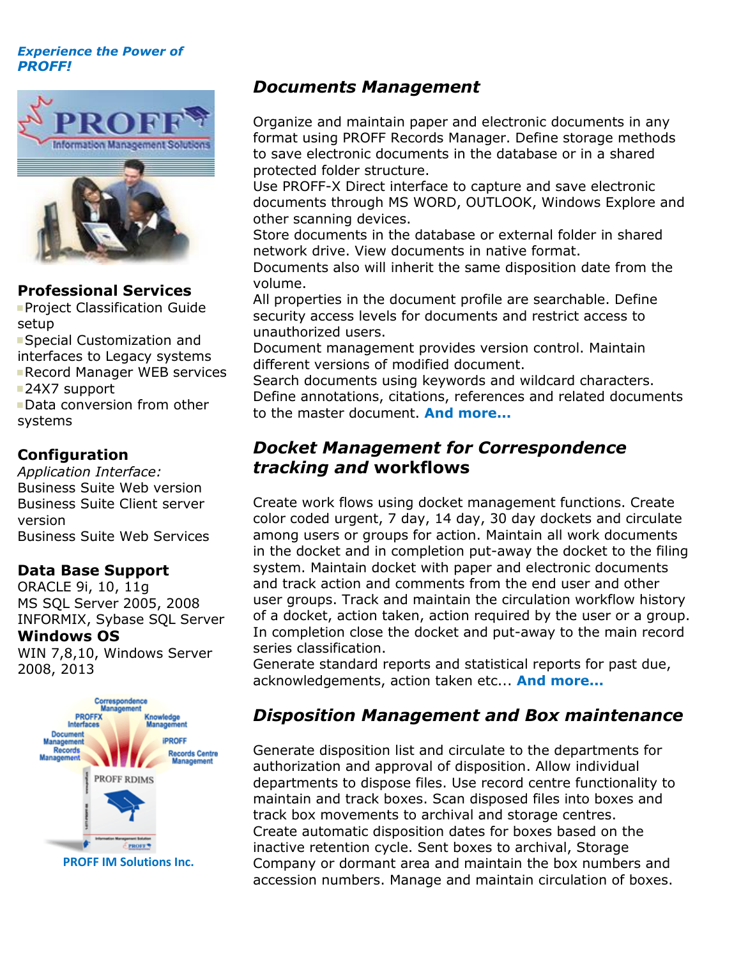#### *Experience the Power of PROFF!*



#### **Professional Services**

**Project Classification Guide** setup

Special Customization and interfaces to Legacy systems

Record Manager WEB services

■24X7 support

Data conversion from other systems

### **Configuration**

*Application Interface:* Business Suite Web version Business Suite Client server version Business Suite Web Services

### **Data Base Support**

ORACLE 9i, 10, 11g MS SQL Server 2005, 2008 INFORMIX, Sybase SQL Server **Windows OS**

WIN 7,8,10, Windows Server 2008, 2013



*Documents Management*

 Organize and maintain paper and electronic documents in any format using PROFF Records Manager. Define storage methods to save electronic documents in the database or in a shared protected folder structure.

 Use PROFF-X Direct interface to capture and save electronic documents through MS WORD, OUTLOOK, Windows Explore and other scanning devices.

 Store documents in the database or external folder in shared network drive. View documents in native format.

 Documents also will inherit the same disposition date from the volume.

 All properties in the document profile are searchable. Define security access levels for documents and restrict access to unauthorized users.

 Document management provides version control. Maintain different versions of modified document.

 Search documents using keywords and wildcard characters. Define annotations, citations, references and related documents to the master document. **And more...**

## *Docket Management for Correspondence tracking and* **workflows**

 Create work flows using docket management functions. Create color coded urgent, 7 day, 14 day, 30 day dockets and circulate among users or groups for action. Maintain all work documents in the docket and in completion put-away the docket to the filing system. Maintain docket with paper and electronic documents and track action and comments from the end user and other user groups. Track and maintain the circulation workflow history of a docket, action taken, action required by the user or a group. In completion close the docket and put-away to the main record series classification.

 Generate standard reports and statistical reports for past due, acknowledgements, action taken etc... **And more...**

## *Disposition Management and Box maintenance*

 Generate disposition list and circulate to the departments for authorization and approval of disposition. Allow individual departments to dispose files. Use record centre functionality to maintain and track boxes. Scan disposed files into boxes and track box movements to archival and storage centres. Create automatic disposition dates for boxes based on the inactive retention cycle. Sent boxes to archival, Storage Company or dormant area and maintain the box numbers and accession numbers. Manage and maintain circulation of boxes.